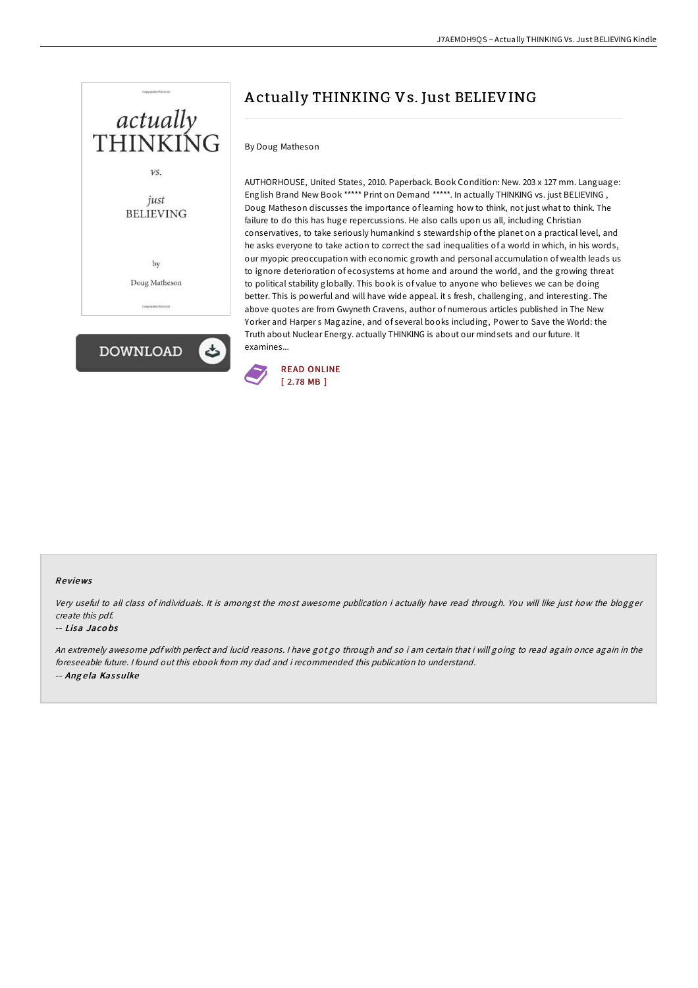

# A ctually THINKING Vs. Just BELIEVING

## By Doug Matheson

AUTHORHOUSE, United States, 2010. Paperback. Book Condition: New. 203 x 127 mm. Language: English Brand New Book \*\*\*\*\* Print on Demand \*\*\*\*\*. In actually THINKING vs. just BELIEVING , Doug Matheson discusses the importance of learning how to think, not just what to think. The failure to do this has huge repercussions. He also calls upon us all, including Christian conservatives, to take seriously humankind s stewardship of the planet on a practical level, and he asks everyone to take action to correct the sad inequalities of a world in which, in his words, our myopic preoccupation with economic growth and personal accumulation of wealth leads us to ignore deterioration of ecosystems at home and around the world, and the growing threat to political stability globally. This book is of value to anyone who believes we can be doing better. This is powerful and will have wide appeal. it s fresh, challenging, and interesting. The above quotes are from Gwyneth Cravens, author of numerous articles published in The New Yorker and Harper s Magazine, and of several books including, Power to Save the World: the Truth about Nuclear Energy. actually THINKING is about our mindsets and our future. It examines...



#### Re views

Very useful to all class of individuals. It is amongst the most awesome publication i actually have read through. You will like just how the blogger create this pdf.

#### -- Lisa Jaco bs

An extremely awesome pdf with perfect and lucid reasons. <sup>I</sup> have got go through and so i am certain that i will going to read again once again in the foreseeable future. I found out this ebook from my dad and i recommended this publication to understand. -- Angela Kassulke